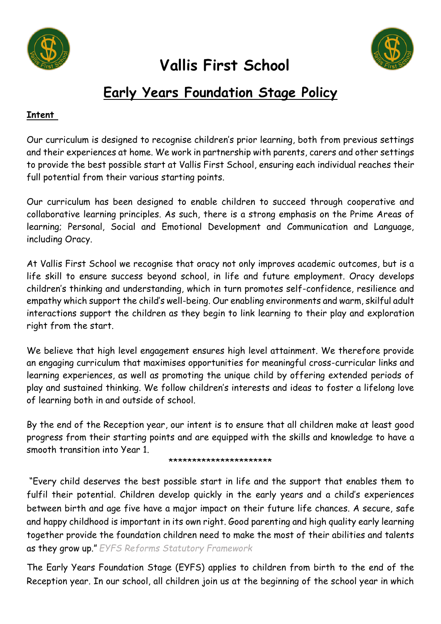

 **Vallis First School** 



# **Early Years Foundation Stage Policy**

#### **Intent**

Our curriculum is designed to recognise children's prior learning, both from previous settings and their experiences at home. We work in partnership with parents, carers and other settings to provide the best possible start at Vallis First School, ensuring each individual reaches their full potential from their various starting points.

Our curriculum has been designed to enable children to succeed through cooperative and collaborative learning principles. As such, there is a strong emphasis on the Prime Areas of learning; Personal, Social and Emotional Development and Communication and Language, including Oracy.

At Vallis First School we recognise that oracy not only improves academic outcomes, but is a life skill to ensure success beyond school, in life and future employment. Oracy develops children's thinking and understanding, which in turn promotes self-confidence, resilience and empathy which support the child's well-being. Our enabling environments and warm, skilful adult interactions support the children as they begin to link learning to their play and exploration right from the start.

We believe that high level engagement ensures high level attainment. We therefore provide an engaging curriculum that maximises opportunities for meaningful cross-curricular links and learning experiences, as well as promoting the unique child by offering extended periods of play and sustained thinking. We follow children's interests and ideas to foster a lifelong love of learning both in and outside of school.

By the end of the Reception year, our intent is to ensure that all children make at least good progress from their starting points and are equipped with the skills and knowledge to have a smooth transition into Year 1.

\*\*\*\*\*\*\*\*\*\*\*\*\*\*\*\*\*\*\*\*\*\*

"Every child deserves the best possible start in life and the support that enables them to fulfil their potential. Children develop quickly in the early years and a child's experiences between birth and age five have a major impact on their future life chances. A secure, safe and happy childhood is important in its own right. Good parenting and high quality early learning together provide the foundation children need to make the most of their abilities and talents as they grow up." *EYFS Reforms Statutory Framework* 

The Early Years Foundation Stage (EYFS) applies to children from birth to the end of the Reception year. In our school, all children join us at the beginning of the school year in which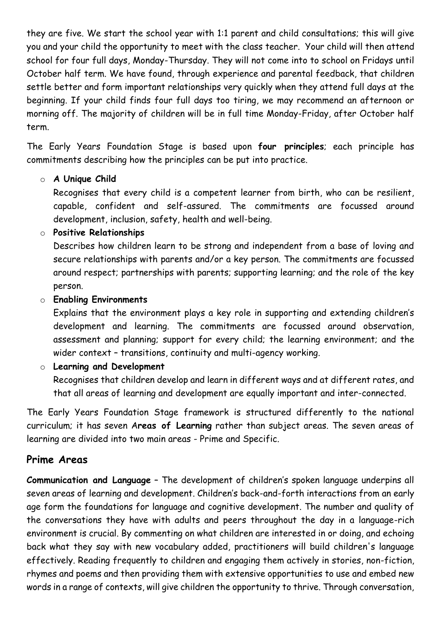they are five. We start the school year with 1:1 parent and child consultations; this will give you and your child the opportunity to meet with the class teacher. Your child will then attend school for four full days, Monday-Thursday. They will not come into to school on Fridays until October half term. We have found, through experience and parental feedback, that children settle better and form important relationships very quickly when they attend full days at the beginning. If your child finds four full days too tiring, we may recommend an afternoon or morning off. The majority of children will be in full time Monday-Friday, after October half term.

The Early Years Foundation Stage is based upon **four principles**; each principle has commitments describing how the principles can be put into practice.

#### o **A Unique Child**

Recognises that every child is a competent learner from birth, who can be resilient, capable, confident and self-assured. The commitments are focussed around development, inclusion, safety, health and well-being.

#### o **Positive Relationships**

Describes how children learn to be strong and independent from a base of loving and secure relationships with parents and/or a key person. The commitments are focussed around respect; partnerships with parents; supporting learning; and the role of the key person.

#### o **Enabling Environments**

Explains that the environment plays a key role in supporting and extending children's development and learning. The commitments are focussed around observation, assessment and planning; support for every child; the learning environment; and the wider context – transitions, continuity and multi-agency working.

#### o **Learning and Development**

Recognises that children develop and learn in different ways and at different rates, and that all areas of learning and development are equally important and inter-connected.

The Early Years Foundation Stage framework is structured differently to the national curriculum; it has seven A**reas of Learning** rather than subject areas. The seven areas of learning are divided into two main areas - Prime and Specific.

#### **Prime Areas**

**Communication and Language** – The development of children's spoken language underpins all seven areas of learning and development. Children's back-and-forth interactions from an early age form the foundations for language and cognitive development. The number and quality of the conversations they have with adults and peers throughout the day in a language-rich environment is crucial. By commenting on what children are interested in or doing, and echoing back what they say with new vocabulary added, practitioners will build children's language effectively. Reading frequently to children and engaging them actively in stories, non-fiction, rhymes and poems and then providing them with extensive opportunities to use and embed new words in a range of contexts, will give children the opportunity to thrive. Through conversation,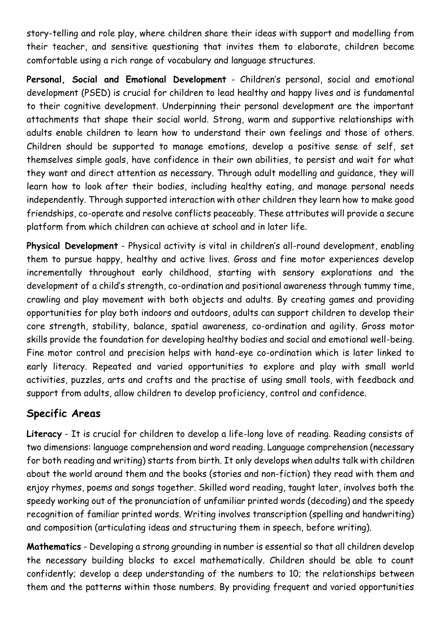story-telling and role play, where children share their ideas with support and modelling from their teacher, and sensitive questioning that invites them to elaborate, children become comfortable using a rich range of vocabulary and language structures.

**Personal, Social and Emotional Development** - Children's personal, social and emotional development (PSED) is crucial for children to lead healthy and happy lives and is fundamental to their cognitive development. Underpinning their personal development are the important attachments that shape their social world. Strong, warm and supportive relationships with adults enable children to learn how to understand their own feelings and those of others. Children should be supported to manage emotions, develop a positive sense of self, set themselves simple goals, have confidence in their own abilities, to persist and wait for what they want and direct attention as necessary. Through adult modelling and guidance, they will learn how to look after their bodies, including healthy eating, and manage personal needs independently. Through supported interaction with other children they learn how to make good friendships, co-operate and resolve conflicts peaceably. These attributes will provide a secure platform from which children can achieve at school and in later life.

**Physical Development** - Physical activity is vital in children's all-round development, enabling them to pursue happy, healthy and active lives. Gross and fine motor experiences develop incrementally throughout early childhood, starting with sensory explorations and the development of a child's strength, co-ordination and positional awareness through tummy time, crawling and play movement with both objects and adults. By creating games and providing opportunities for play both indoors and outdoors, adults can support children to develop their core strength, stability, balance, spatial awareness, co-ordination and agility. Gross motor skills provide the foundation for developing healthy bodies and social and emotional well-being. Fine motor control and precision helps with hand-eye co-ordination which is later linked to early literacy. Repeated and varied opportunities to explore and play with small world activities, puzzles, arts and crafts and the practise of using small tools, with feedback and support from adults, allow children to develop proficiency, control and confidence.

# **Specific Areas**

**Literacy** - It is crucial for children to develop a life-long love of reading. Reading consists of two dimensions: language comprehension and word reading. Language comprehension (necessary for both reading and writing) starts from birth. It only develops when adults talk with children about the world around them and the books (stories and non-fiction) they read with them and enjoy rhymes, poems and songs together. Skilled word reading, taught later, involves both the speedy working out of the pronunciation of unfamiliar printed words (decoding) and the speedy recognition of familiar printed words. Writing involves transcription (spelling and handwriting) and composition (articulating ideas and structuring them in speech, before writing).

**Mathematics** - Developing a strong grounding in number is essential so that all children develop the necessary building blocks to excel mathematically. Children should be able to count confidently; develop a deep understanding of the numbers to 10; the relationships between them and the patterns within those numbers. By providing frequent and varied opportunities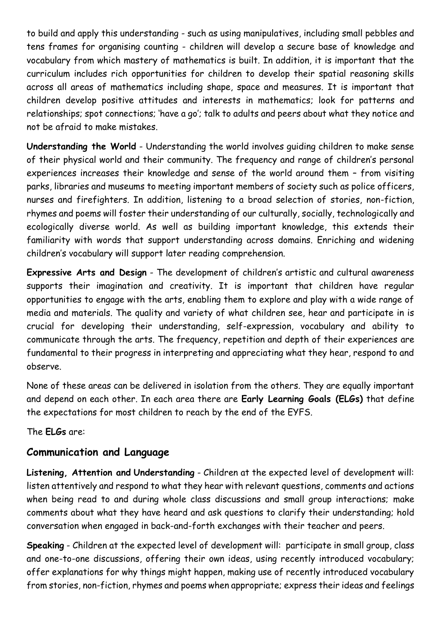to build and apply this understanding - such as using manipulatives, including small pebbles and tens frames for organising counting - children will develop a secure base of knowledge and vocabulary from which mastery of mathematics is built. In addition, it is important that the curriculum includes rich opportunities for children to develop their spatial reasoning skills across all areas of mathematics including shape, space and measures. It is important that children develop positive attitudes and interests in mathematics; look for patterns and relationships; spot connections; 'have a go'; talk to adults and peers about what they notice and not be afraid to make mistakes.

**Understanding the World** - Understanding the world involves guiding children to make sense of their physical world and their community. The frequency and range of children's personal experiences increases their knowledge and sense of the world around them – from visiting parks, libraries and museums to meeting important members of society such as police officers, nurses and firefighters. In addition, listening to a broad selection of stories, non-fiction, rhymes and poems will foster their understanding of our culturally, socially, technologically and ecologically diverse world. As well as building important knowledge, this extends their familiarity with words that support understanding across domains. Enriching and widening children's vocabulary will support later reading comprehension.

**Expressive Arts and Design** - The development of children's artistic and cultural awareness supports their imagination and creativity. It is important that children have regular opportunities to engage with the arts, enabling them to explore and play with a wide range of media and materials. The quality and variety of what children see, hear and participate in is crucial for developing their understanding, self-expression, vocabulary and ability to communicate through the arts. The frequency, repetition and depth of their experiences are fundamental to their progress in interpreting and appreciating what they hear, respond to and observe.

None of these areas can be delivered in isolation from the others. They are equally important and depend on each other. In each area there are **Early Learning Goals (ELGs)** that define the expectations for most children to reach by the end of the EYFS.

The **ELGs** are:

#### **Communication and Language**

**Listening, Attention and Understanding** - Children at the expected level of development will: listen attentively and respond to what they hear with relevant questions, comments and actions when being read to and during whole class discussions and small group interactions; make comments about what they have heard and ask questions to clarify their understanding; hold conversation when engaged in back-and-forth exchanges with their teacher and peers.

**Speaking** - Children at the expected level of development will: participate in small group, class and one-to-one discussions, offering their own ideas, using recently introduced vocabulary; offer explanations for why things might happen, making use of recently introduced vocabulary from stories, non-fiction, rhymes and poems when appropriate; express their ideas and feelings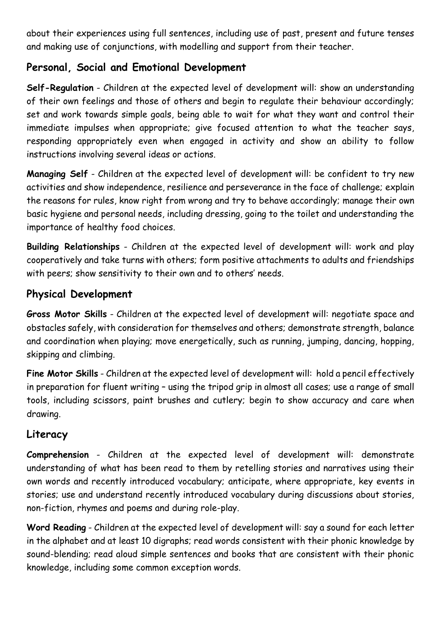about their experiences using full sentences, including use of past, present and future tenses and making use of conjunctions, with modelling and support from their teacher.

### **Personal, Social and Emotional Development**

**Self-Regulation** - Children at the expected level of development will: show an understanding of their own feelings and those of others and begin to regulate their behaviour accordingly; set and work towards simple goals, being able to wait for what they want and control their immediate impulses when appropriate; give focused attention to what the teacher says, responding appropriately even when engaged in activity and show an ability to follow instructions involving several ideas or actions.

**Managing Self** - Children at the expected level of development will: be confident to try new activities and show independence, resilience and perseverance in the face of challenge; explain the reasons for rules, know right from wrong and try to behave accordingly; manage their own basic hygiene and personal needs, including dressing, going to the toilet and understanding the importance of healthy food choices.

**Building Relationships** - Children at the expected level of development will: work and play cooperatively and take turns with others; form positive attachments to adults and friendships with peers; show sensitivity to their own and to others' needs.

#### **Physical Development**

**Gross Motor Skills** - Children at the expected level of development will: negotiate space and obstacles safely, with consideration for themselves and others; demonstrate strength, balance and coordination when playing; move energetically, such as running, jumping, dancing, hopping, skipping and climbing.

**Fine Motor Skills** - Children at the expected level of development will: hold a pencil effectively in preparation for fluent writing – using the tripod grip in almost all cases; use a range of small tools, including scissors, paint brushes and cutlery; begin to show accuracy and care when drawing.

#### **Literacy**

**Comprehension** - Children at the expected level of development will: demonstrate understanding of what has been read to them by retelling stories and narratives using their own words and recently introduced vocabulary; anticipate, where appropriate, key events in stories; use and understand recently introduced vocabulary during discussions about stories, non-fiction, rhymes and poems and during role-play.

**Word Reading** - Children at the expected level of development will: say a sound for each letter in the alphabet and at least 10 digraphs; read words consistent with their phonic knowledge by sound-blending; read aloud simple sentences and books that are consistent with their phonic knowledge, including some common exception words.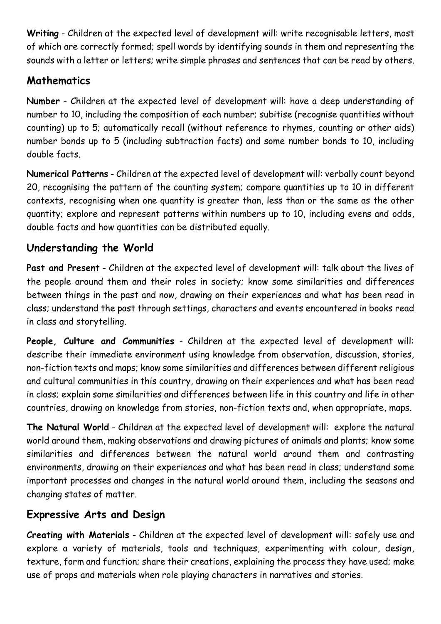**Writing** - Children at the expected level of development will: write recognisable letters, most of which are correctly formed; spell words by identifying sounds in them and representing the sounds with a letter or letters; write simple phrases and sentences that can be read by others.

### **Mathematics**

**Number** - Children at the expected level of development will: have a deep understanding of number to 10, including the composition of each number; subitise (recognise quantities without counting) up to 5; automatically recall (without reference to rhymes, counting or other aids) number bonds up to 5 (including subtraction facts) and some number bonds to 10, including double facts.

**Numerical Patterns** - Children at the expected level of development will: verbally count beyond 20, recognising the pattern of the counting system; compare quantities up to 10 in different contexts, recognising when one quantity is greater than, less than or the same as the other quantity; explore and represent patterns within numbers up to 10, including evens and odds, double facts and how quantities can be distributed equally.

### **Understanding the World**

**Past and Present** - Children at the expected level of development will: talk about the lives of the people around them and their roles in society; know some similarities and differences between things in the past and now, drawing on their experiences and what has been read in class; understand the past through settings, characters and events encountered in books read in class and storytelling.

**People, Culture and Communities** - Children at the expected level of development will: describe their immediate environment using knowledge from observation, discussion, stories, non-fiction texts and maps; know some similarities and differences between different religious and cultural communities in this country, drawing on their experiences and what has been read in class; explain some similarities and differences between life in this country and life in other countries, drawing on knowledge from stories, non-fiction texts and, when appropriate, maps.

**The Natural World** - Children at the expected level of development will: explore the natural world around them, making observations and drawing pictures of animals and plants; know some similarities and differences between the natural world around them and contrasting environments, drawing on their experiences and what has been read in class; understand some important processes and changes in the natural world around them, including the seasons and changing states of matter.

### **Expressive Arts and Design**

**Creating with Materials** - Children at the expected level of development will: safely use and explore a variety of materials, tools and techniques, experimenting with colour, design, texture, form and function; share their creations, explaining the process they have used; make use of props and materials when role playing characters in narratives and stories.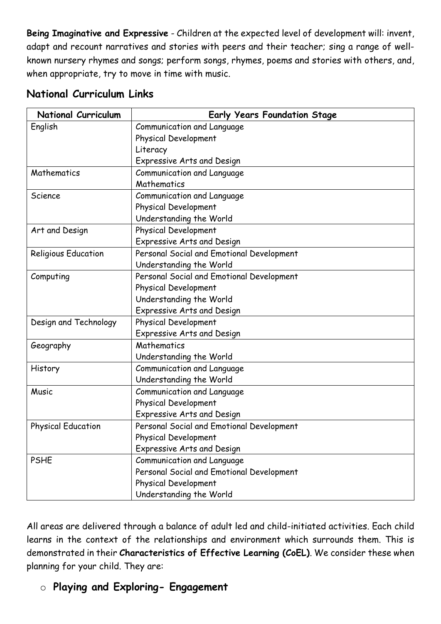**Being Imaginative and Expressive** - Children at the expected level of development will: invent, adapt and recount narratives and stories with peers and their teacher; sing a range of wellknown nursery rhymes and songs; perform songs, rhymes, poems and stories with others, and, when appropriate, try to move in time with music.

| <b>National Curriculum</b> | <b>Early Years Foundation Stage</b>       |
|----------------------------|-------------------------------------------|
| English                    | <b>Communication and Language</b>         |
|                            | <b>Physical Development</b>               |
|                            | Literacy                                  |
|                            | Expressive Arts and Design                |
| Mathematics                | <b>Communication and Language</b>         |
|                            | Mathematics                               |
| Science                    | <b>Communication and Language</b>         |
|                            | Physical Development                      |
|                            | Understanding the World                   |
| Art and Design             | Physical Development                      |
|                            | <b>Expressive Arts and Design</b>         |
| Religious Education        | Personal Social and Emotional Development |
|                            | Understanding the World                   |
| Computing                  | Personal Social and Emotional Development |
|                            | Physical Development                      |
|                            | Understanding the World                   |
|                            | <b>Expressive Arts and Design</b>         |
| Design and Technology      | Physical Development                      |
|                            | <b>Expressive Arts and Design</b>         |
| Geography                  | Mathematics                               |
|                            | Understanding the World                   |
| History                    | <b>Communication and Language</b>         |
|                            | Understanding the World                   |
| Music                      | Communication and Language                |
|                            | Physical Development                      |
|                            | Expressive Arts and Design                |
| <b>Physical Education</b>  | Personal Social and Emotional Development |
|                            | Physical Development                      |
|                            | Expressive Arts and Design                |
| <b>PSHE</b>                | Communication and Language                |
|                            | Personal Social and Emotional Development |
|                            | Physical Development                      |
|                            | Understanding the World                   |

### **National Curriculum Links**

All areas are delivered through a balance of adult led and child-initiated activities. Each child learns in the context of the relationships and environment which surrounds them. This is demonstrated in their **Characteristics of Effective Learning (CoEL)**. We consider these when planning for your child. They are:

# o **Playing and Exploring- Engagement**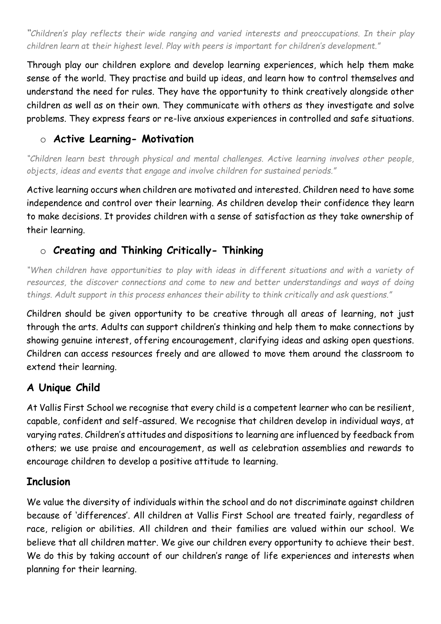*"Children's play reflects their wide ranging and varied interests and preoccupations. In their play children learn at their highest level. Play with peers is important for children's development."*

Through play our children explore and develop learning experiences, which help them make sense of the world. They practise and build up ideas, and learn how to control themselves and understand the need for rules. They have the opportunity to think creatively alongside other children as well as on their own. They communicate with others as they investigate and solve problems. They express fears or re-live anxious experiences in controlled and safe situations.

### o **Active Learning- Motivation**

*"Children learn best through physical and mental challenges. Active learning involves other people, objects, ideas and events that engage and involve children for sustained periods."*

Active learning occurs when children are motivated and interested. Children need to have some independence and control over their learning. As children develop their confidence they learn to make decisions. It provides children with a sense of satisfaction as they take ownership of their learning.

## o **Creating and Thinking Critically- Thinking**

*"When children have opportunities to play with ideas in different situations and with a variety of resources, the discover connections and come to new and better understandings and ways of doing things. Adult support in this process enhances their ability to think critically and ask questions."*

Children should be given opportunity to be creative through all areas of learning, not just through the arts. Adults can support children's thinking and help them to make connections by showing genuine interest, offering encouragement, clarifying ideas and asking open questions. Children can access resources freely and are allowed to move them around the classroom to extend their learning.

# **A Unique Child**

At Vallis First School we recognise that every child is a competent learner who can be resilient, capable, confident and self-assured. We recognise that children develop in individual ways, at varying rates. Children's attitudes and dispositions to learning are influenced by feedback from others; we use praise and encouragement, as well as celebration assemblies and rewards to encourage children to develop a positive attitude to learning.

#### **Inclusion**

We value the diversity of individuals within the school and do not discriminate against children because of 'differences'. All children at Vallis First School are treated fairly, regardless of race, religion or abilities. All children and their families are valued within our school. We believe that all children matter. We give our children every opportunity to achieve their best. We do this by taking account of our children's range of life experiences and interests when planning for their learning.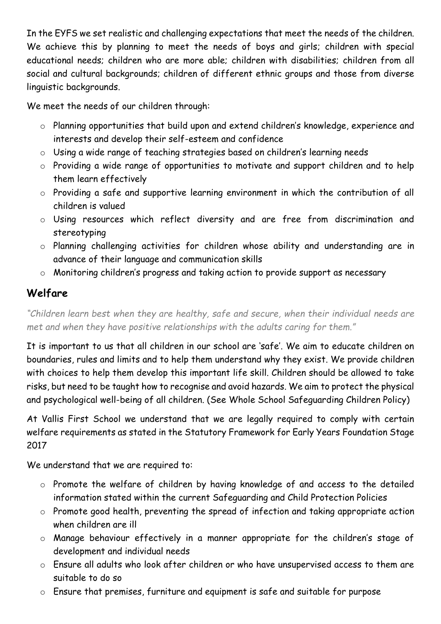In the EYFS we set realistic and challenging expectations that meet the needs of the children. We achieve this by planning to meet the needs of boys and girls; children with special educational needs; children who are more able; children with disabilities; children from all social and cultural backgrounds; children of different ethnic groups and those from diverse linguistic backgrounds.

We meet the needs of our children through:

- o Planning opportunities that build upon and extend children's knowledge, experience and interests and develop their self-esteem and confidence
- o Using a wide range of teaching strategies based on children's learning needs
- o Providing a wide range of opportunities to motivate and support children and to help them learn effectively
- o Providing a safe and supportive learning environment in which the contribution of all children is valued
- o Using resources which reflect diversity and are free from discrimination and stereotyping
- o Planning challenging activities for children whose ability and understanding are in advance of their language and communication skills
- o Monitoring children's progress and taking action to provide support as necessary

# **Welfare**

"Children learn best when they are healthy, safe and secure, when their individual needs are *met and when they have positive relationships with the adults caring for them."*

It is important to us that all children in our school are 'safe'. We aim to educate children on boundaries, rules and limits and to help them understand why they exist. We provide children with choices to help them develop this important life skill. Children should be allowed to take risks, but need to be taught how to recognise and avoid hazards. We aim to protect the physical and psychological well-being of all children. (See Whole School Safeguarding Children Policy)

At Vallis First School we understand that we are legally required to comply with certain welfare requirements as stated in the Statutory Framework for Early Years Foundation Stage 2017

We understand that we are required to:

- o Promote the welfare of children by having knowledge of and access to the detailed information stated within the current Safeguarding and Child Protection Policies
- o Promote good health, preventing the spread of infection and taking appropriate action when children are ill
- o Manage behaviour effectively in a manner appropriate for the children's stage of development and individual needs
- o Ensure all adults who look after children or who have unsupervised access to them are suitable to do so
- o Ensure that premises, furniture and equipment is safe and suitable for purpose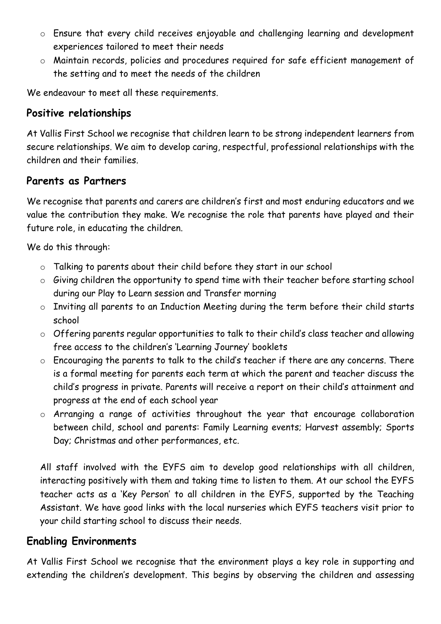- o Ensure that every child receives enjoyable and challenging learning and development experiences tailored to meet their needs
- o Maintain records, policies and procedures required for safe efficient management of the setting and to meet the needs of the children

We endeavour to meet all these requirements.

#### **Positive relationships**

At Vallis First School we recognise that children learn to be strong independent learners from secure relationships. We aim to develop caring, respectful, professional relationships with the children and their families.

#### **Parents as Partners**

We recognise that parents and carers are children's first and most enduring educators and we value the contribution they make. We recognise the role that parents have played and their future role, in educating the children.

We do this through:

- o Talking to parents about their child before they start in our school
- o Giving children the opportunity to spend time with their teacher before starting school during our Play to Learn session and Transfer morning
- o Inviting all parents to an Induction Meeting during the term before their child starts school
- o Offering parents regular opportunities to talk to their child's class teacher and allowing free access to the children's 'Learning Journey' booklets
- o Encouraging the parents to talk to the child's teacher if there are any concerns. There is a formal meeting for parents each term at which the parent and teacher discuss the child's progress in private. Parents will receive a report on their child's attainment and progress at the end of each school year
- o Arranging a range of activities throughout the year that encourage collaboration between child, school and parents: Family Learning events; Harvest assembly; Sports Day; Christmas and other performances, etc.

All staff involved with the EYFS aim to develop good relationships with all children, interacting positively with them and taking time to listen to them. At our school the EYFS teacher acts as a 'Key Person' to all children in the EYFS, supported by the Teaching Assistant. We have good links with the local nurseries which EYFS teachers visit prior to your child starting school to discuss their needs.

#### **Enabling Environments**

At Vallis First School we recognise that the environment plays a key role in supporting and extending the children's development. This begins by observing the children and assessing